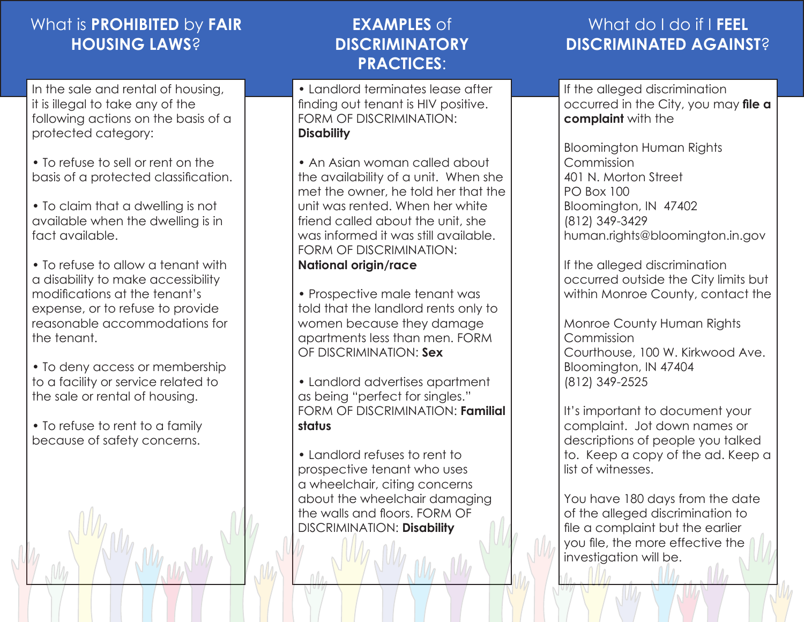### What is **PROHIBITED** by **FAIR HOUSING LAWS**?

In the sale and rental of housing, it is illegal to take any of the following actions on the basis of a protected category:

- To refuse to sell or rent on the basis of a protected classification.
- To claim that a dwelling is not available when the dwelling is in fact available.
- To refuse to allow a tenant with a disability to make accessibility modifications at the tenant's expense, or to refuse to provide reasonable accommodations for the tenant.
- To deny access or membership to a facility or service related to the sale or rental of housing.
- To refuse to rent to a family because of safety concerns.

# **EXAMPLES** of **DISCRIMINATORY PRACTICES**:

• Landlord terminates lease after finding out tenant is HIV positive. FORM OF DISCRIMINATION: **Disability**

• An Asian woman called about the availability of a unit. When she met the owner, he told her that the unit was rented. When her white friend called about the unit, she was informed it was still available. FORM OF DISCRIMINATION: **National origin/race**

• Prospective male tenant was told that the landlord rents only to women because they damage apartments less than men. FORM OF DISCRIMINATION: **Sex**

• Landlord advertises apartment as being "perfect for singles." FORM OF DISCRIMINATION: **Familial status**

• Landlord refuses to rent to prospective tenant who uses a wheelchair, citing concerns about the wheelchair damaging the walls and floors. FORM OF DISCRIMINATION: **Disability**

# What do I do if I **FEEL DISCRIMINATED AGAINST**?

If the alleged discrimination occurred in the City, you may **file a complaint** with the

Bloomington Human Rights Commission 401 N. Morton Street PO Box 100 Bloomington, IN 47402 (812) 349-3429 human.rights@bloomington.in.gov

If the alleged discrimination occurred outside the City limits but within Monroe County, contact the

Monroe County Human Rights Commission Courthouse, 100 W. Kirkwood Ave. Bloomington, IN 47404 (812) 349-2525

It's important to document your complaint. Jot down names or descriptions of people you talked to. Keep a copy of the ad. Keep a list of witnesses.

You have 180 days from the date of the alleged discrimination to file a complaint but the earlier you file, the more effective the investigation will be.